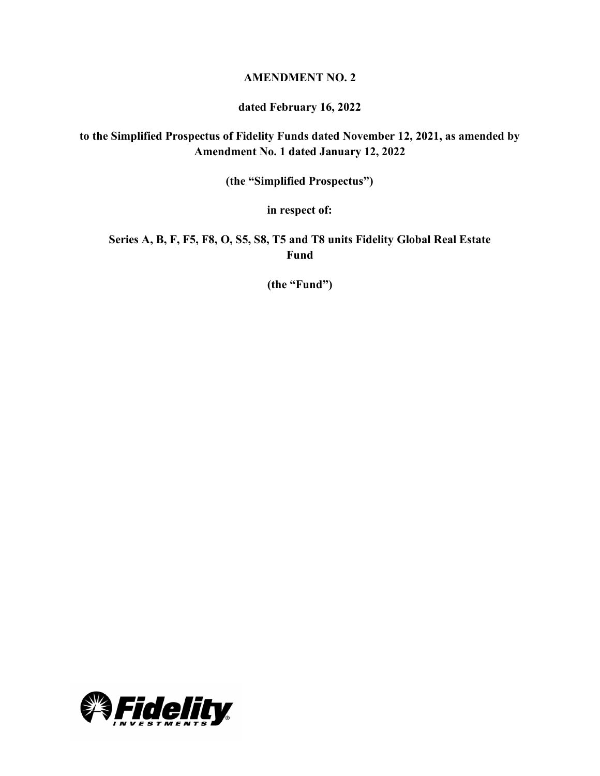## **AMENDMENT NO. 2**

### **dated February 16, 2022**

# **to the Simplified Prospectus of Fidelity Funds dated November 12, 2021, as amended by Amendment No. 1 dated January 12, 2022**

**(the "Simplified Prospectus")**

**in respect of:**

**Series A, B, F, F5, F8, O, S5, S8, T5 and T8 units Fidelity Global Real Estate Fund**

**(the "Fund")**

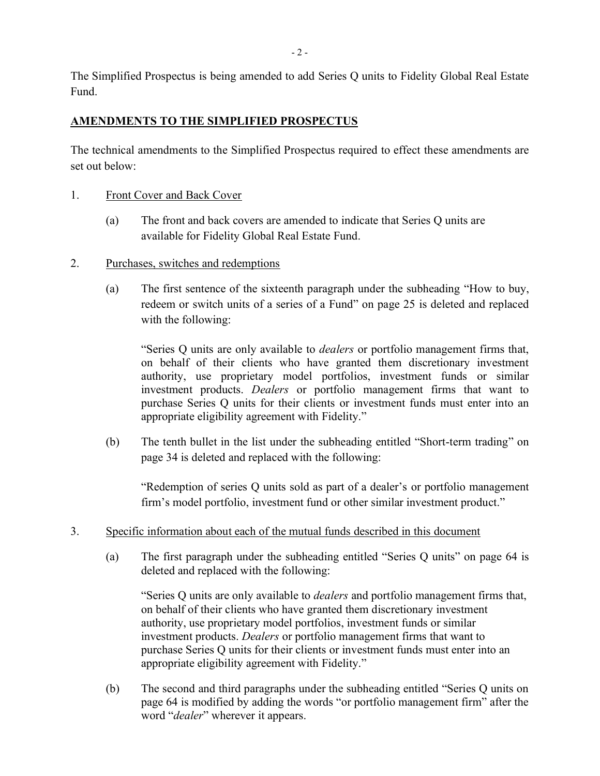The Simplified Prospectus is being amended to add Series Q units to Fidelity Global Real Estate Fund.

## **AMENDMENTS TO THE SIMPLIFIED PROSPECTUS**

The technical amendments to the Simplified Prospectus required to effect these amendments are set out below:

- 1. Front Cover and Back Cover
	- (a) The front and back covers are amended to indicate that Series Q units are available for Fidelity Global Real Estate Fund.
- 2. Purchases, switches and redemptions
	- (a) The first sentence of the sixteenth paragraph under the subheading "How to buy, redeem or switch units of a series of a Fund" on page 25 is deleted and replaced with the following:

"Series Q units are only available to *dealers* or portfolio management firms that, on behalf of their clients who have granted them discretionary investment authority, use proprietary model portfolios, investment funds or similar investment products. *Dealers* or portfolio management firms that want to purchase Series Q units for their clients or investment funds must enter into an appropriate eligibility agreement with Fidelity."

(b) The tenth bullet in the list under the subheading entitled "Short-term trading" on page 34 is deleted and replaced with the following:

"Redemption of series Q units sold as part of a dealer's or portfolio management firm's model portfolio, investment fund or other similar investment product."

- 3. Specific information about each of the mutual funds described in this document
	- (a) The first paragraph under the subheading entitled "Series Q units" on page 64 is deleted and replaced with the following:

"Series Q units are only available to *dealers* and portfolio management firms that, on behalf of their clients who have granted them discretionary investment authority, use proprietary model portfolios, investment funds or similar investment products. *Dealers* or portfolio management firms that want to purchase Series Q units for their clients or investment funds must enter into an appropriate eligibility agreement with Fidelity."

(b) The second and third paragraphs under the subheading entitled "Series Q units on page 64 is modified by adding the words "or portfolio management firm" after the word "*dealer*" wherever it appears.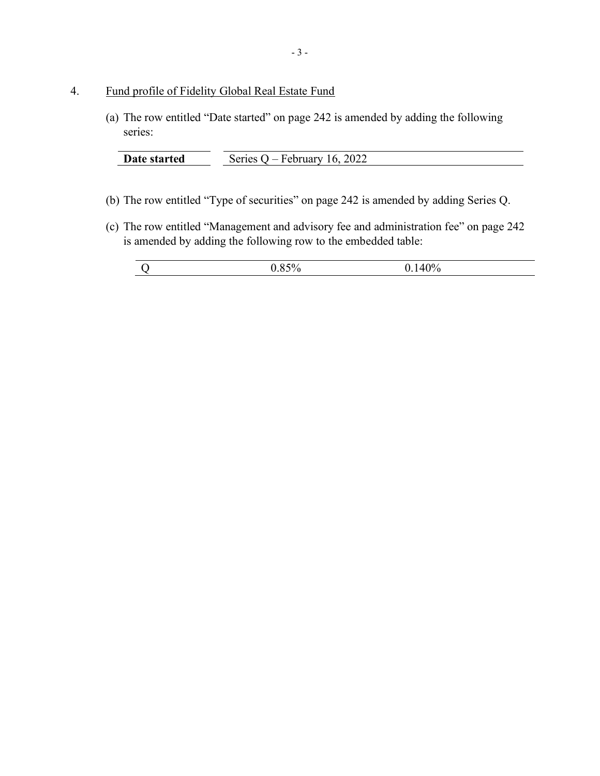## 4. Fund profile of Fidelity Global Real Estate Fund

(a) The row entitled "Date started" on page 242 is amended by adding the following series:

| Date started | 2022<br>√ariac<br>$\mathsf{f}$<br>.<br>ы<br>uur |
|--------------|-------------------------------------------------|

- (b) The row entitled "Type of securities" on page 242 is amended by adding Series Q.
- (c) The row entitled "Management and advisory fee and administration fee" on page 242 is amended by adding the following row to the embedded table: